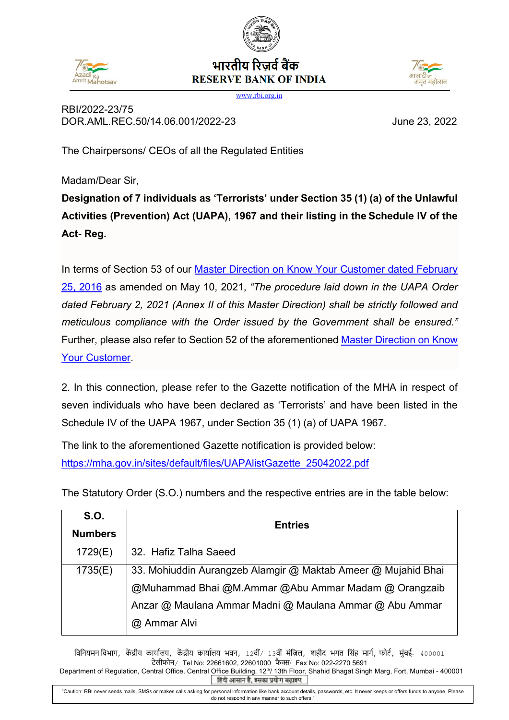## भारतीय रिज़र्व बैंक **RESERVE BANK OF INDIA**



RBI/2022-23/75 DOR.AML.REC.50/14.06.001/2022-23 June 23, 2022

......<br>अमत महोत्सव

The Chairpersons/ CEOs of all the Regulated Entities

Madam/Dear Sir,

**Designation of 7 individuals as 'Terrorists' under Section 35 (1) (a) of the Unlawful Activities (Prevention) Act (UAPA), 1967 and their listing in the Schedule IV of the Act- Reg.**

In terms of Section 53 of our [Master Direction on Know Your Customer](https://www.rbi.org.in/Scripts/BS_ViewMasDirections.aspx?id=11566) dated February [25, 2016](https://www.rbi.org.in/Scripts/BS_ViewMasDirections.aspx?id=11566) as amended on May 10, 2021, *"The procedure laid down in the UAPA Order dated February 2, 2021 (Annex II of this Master Direction) shall be strictly followed and meticulous compliance with the Order issued by the Government shall be ensured."* Further, please also refer to Section 52 of the aforementioned [Master Direction](https://www.rbi.org.in/Scripts/BS_ViewMasDirections.aspx?id=11566) on Know [Your Customer.](https://www.rbi.org.in/Scripts/BS_ViewMasDirections.aspx?id=11566)

2. In this connection, please refer to the Gazette notification of the MHA in respect of seven individuals who have been declared as 'Terrorists' and have been listed in the Schedule IV of the UAPA 1967, under Section 35 (1) (a) of UAPA 1967.

The link to the aforementioned Gazette notification is provided below: [https://mha.gov.in/sites/default/files/UAPAlistGazette\\_25042022.pdf](https://mha.gov.in/sites/default/files/UAPAlistGazette_25042022.pdf)

The Statutory Order (S.O.) numbers and the respective entries are in the table below:

| <b>S.O.</b>    | <b>Entries</b>                                                |
|----------------|---------------------------------------------------------------|
| <b>Numbers</b> |                                                               |
| 1729(E)        | 32. Hafiz Talha Saeed                                         |
| 1735(E)        | 33. Mohiuddin Aurangzeb Alamgir @ Maktab Ameer @ Mujahid Bhai |
|                | @Muhammad Bhai @M.Ammar @Abu Ammar Madam @ Orangzaib          |
|                | Anzar @ Maulana Ammar Madni @ Maulana Ammar @ Abu Ammar       |
|                | @ Ammar Alvi                                                  |

विनियमन विभाग, केंद्रीय कार्यालय, केंद्रीय कार्यालय भवन, 12वीं/ 13वीं मंज़िल, शहीद भगत सिंह मार्ग, फोर्ट, मुंबई- 400001 टेलीफोन/ Tel No: 22661602, 22601000 फै �/ Fax No: 022-2270 5691

Department of Regulation, Central Office, Central Office Building, 12<sup>th</sup>/ 13th Floor, Shahid Bhagat Singh Marg, Fort, Mumbai - 400001<br>**हिंदी आसान है, इसका प्रयोग बढ़ाइए** "Caution: RBI never sends mails, SMSs or makes calls asking for personal information like bank account details, passwords, etc. It never keeps or offers funds to anyone. Please do not respond in any manner to such offers."